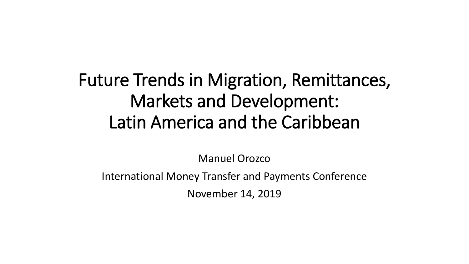#### Future Trends in Migration, Remittances, Markets and Development: Latin America and the Caribbean

Manuel Orozco

International Money Transfer and Payments Conference

November 14, 2019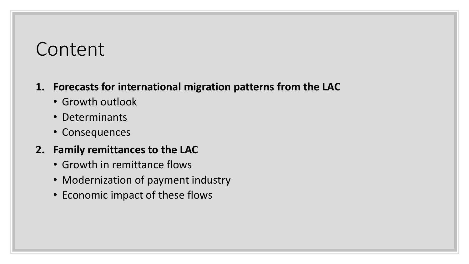#### Content

#### **1. Forecasts for international migration patterns from the LAC**

- Growth outlook
- Determinants
- Consequences

#### **2. Family remittances to the LAC**

- Growth in remittance flows
- Modernization of payment industry
- Economic impact of these flows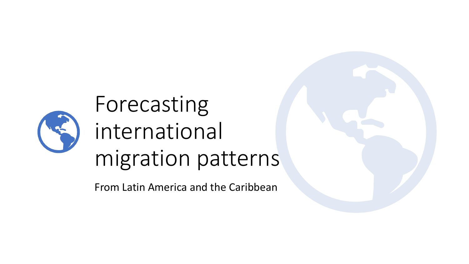

# Forecasting international migration patterns

From Latin America and the Caribbean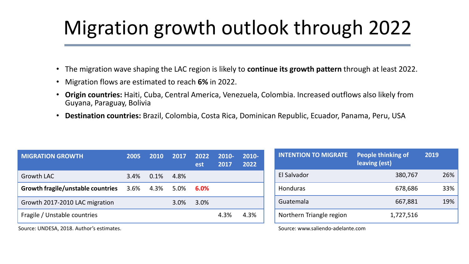## Migration growth outlook through 2022

- The migration wave shaping the LAC region is likely to **continue its growth pattern** through at least 2022.
- Migration flows are estimated to reach **6%** in 2022.
- **Origin countries:** Haiti, Cuba, Central America, Venezuela, Colombia. Increased outflows also likely from Guyana, Paraguay, Bolivia
- **Destination countries:** Brazil, Colombia, Costa Rica, Dominican Republic, Ecuador, Panama, Peru, USA

| <b>MIGRATION GROWTH</b>           | 2005 | 2010 | 2017 | 2022<br>est | 2010-<br>2017 | 2010-<br>2022 |
|-----------------------------------|------|------|------|-------------|---------------|---------------|
| Growth LAC                        | 3.4% | 0.1% | 4.8% |             |               |               |
| Growth fragile/unstable countries | 3.6% | 4.3% | 5.0% | 6.0%        |               |               |
| Growth 2017-2010 LAC migration    |      |      | 3.0% | 3.0%        |               |               |
| Fragile / Unstable countries      |      |      |      |             | 4.3%          | 4.3%          |

| <b>INTENTION TO MIGRATE</b> | <b>People thinking of</b><br>leaving (est) | 2019 |
|-----------------------------|--------------------------------------------|------|
| El Salvador                 | 380,767                                    | 26%  |
| <b>Honduras</b>             | 678,686                                    | 33%  |
| Guatemala                   | 667,881                                    | 19%  |
| Northern Triangle region    | 1,727,516                                  |      |

Source: UNDESA, 2018. Author's estimates.

Source: www.saliendo-adelante.com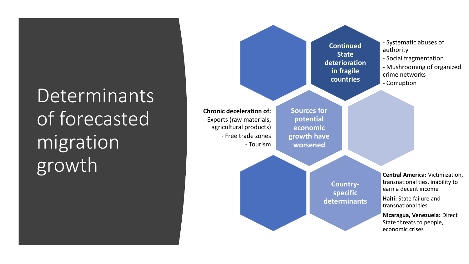## **Determinants** of forecasted migration growth

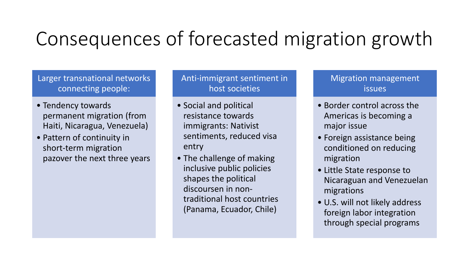#### Consequences of forecasted migration growth

#### Larger transnational networks connecting people:

- Tendency towards permanent migration (from Haiti, Nicaragua, Venezuela)
- Pattern of continuity in short-term migration pazover the next three years

Anti-immigrant sentiment in host societies

- Social and political resistance towards immigrants: Nativist sentiments, reduced visa entry
- The challenge of making inclusive public policies shapes the political discoursen in nontraditional host countries (Panama, Ecuador, Chile)

Migration management issues

- Border control across the Americas is becoming a major issue
- Foreign assistance being conditioned on reducing migration
- Little State response to Nicaraguan and Venezuelan migrations
- U.S. will not likely address foreign labor integration through special programs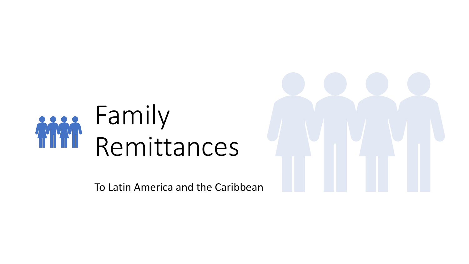

To Latin America and the Caribbean

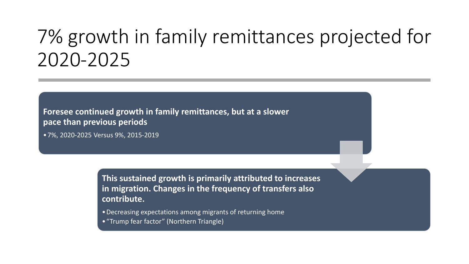#### 7% growth in family remittances projected for 2020-2025

**Foresee continued growth in family remittances, but at a slower pace than previous periods**

•7%, 2020-2025 Versus 9%, 2015-2019

**This sustained growth is primarily attributed to increases in migration. Changes in the frequency of transfers also contribute.**

- •Decreasing expectations among migrants of returning home
- •"Trump fear factor" (Northern Triangle)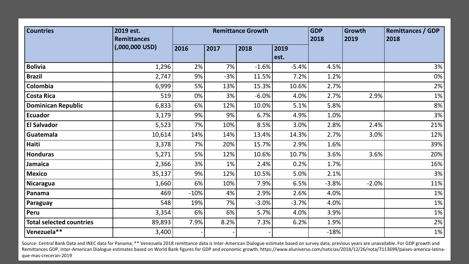| <b>Countries</b>                | 2019 est.<br><b>Remittances</b> | <b>Remittance Growth</b> |       |         |         | <b>GDP</b><br>2018 | Growth<br>2019 | <b>Remittances / GDP</b><br>2018 |
|---------------------------------|---------------------------------|--------------------------|-------|---------|---------|--------------------|----------------|----------------------------------|
|                                 | (0.000, 0.000, 0.05)            | 2016                     | 2017  | 2018    | 2019    |                    |                |                                  |
|                                 |                                 |                          |       |         | est.    |                    |                |                                  |
| <b>Bolivia</b>                  | 1,296                           | 2%                       | 7%    | $-1.6%$ | $-5.4%$ | 4.5%               |                | 3%                               |
| <b>Brazil</b>                   | 2,747                           | 9%                       | $-3%$ | 11.5%   | 7.2%    | 1.2%               |                | 0%                               |
| Colombia                        | 6,999                           | 5%                       | 13%   | 15.3%   | 10.6%   | 2.7%               |                | 2%                               |
| <b>Costa Rica</b>               | 519                             | 0%                       | 3%    | $-6.0%$ | 4.0%    | 2.7%               | 2.9%           | 1%                               |
| <b>Dominican Republic</b>       | 6,833                           | 6%                       | 12%   | 10.0%   | 5.1%    | 5.8%               |                | 8%                               |
| <b>Ecuador</b>                  | 3,179                           | 9%                       | 9%    | 6.7%    | 4.9%    | 1.0%               |                | 3%                               |
| <b>El Salvador</b>              | 5,523                           | 7%                       | 10%   | 8.5%    | 3.0%    | 2.8%               | 2.4%           | 21%                              |
| Guatemala                       | 10,614                          | 14%                      | 14%   | 13.4%   | 14.3%   | 2.7%               | 3.0%           | 12%                              |
| Haiti                           | 3,378                           | 7%                       | 20%   | 15.7%   | 2.9%    | 1.6%               |                | 39%                              |
| <b>Honduras</b>                 | 5,271                           | 5%                       | 12%   | 10.6%   | 10.7%   | 3.6%               | 3.6%           | 20%                              |
| Jamaica                         | 2,366                           | 3%                       | 1%    | 2.4%    | 0.2%    | 1.7%               |                | 16%                              |
| <b>Mexico</b>                   | 35,137                          | 9%                       | 12%   | 10.5%   | 5.0%    | 2.1%               |                | 3%                               |
| <b>Nicaragua</b>                | 1,660                           | 6%                       | 10%   | 7.9%    | 6.5%    | $-3.8%$            | $-2.0%$        | 11%                              |
| Panama                          | 469                             | $-10%$                   | 4%    | 2.9%    | 2.6%    | 4.0%               |                | 1%                               |
| Paraguay                        | 548                             | 19%                      | 7%    | $-3.0%$ | $-3.7%$ | 4.0%               |                | $1\%$                            |
| Peru                            | 3,354                           | 6%                       | 6%    | 5.7%    | 4.0%    | 3.9%               |                | 1%                               |
| <b>Total selected countries</b> | 89,893                          | 7.9%                     | 8.2%  | 7.3%    | 6.2%    | 1.9%               |                | 2%                               |
| Venezuela**                     | 3,400                           |                          |       |         |         | $-18%$             |                | $1\%$                            |

Source: Central Bank Data and INEC data for Panama; \*\* Venezuela 2018 remittance data is Inter-American Dialogue estimate based on survey data; previous years are unavailable. For GDP growth and Remittances GDP, Inter-American Dialogue estimates based on World Bank figures for GDP and economic growth. https://www.eluniverso.com/noticias/2018/12/26/nota/7113699/paises-america-latinaque-mas-creceran-2019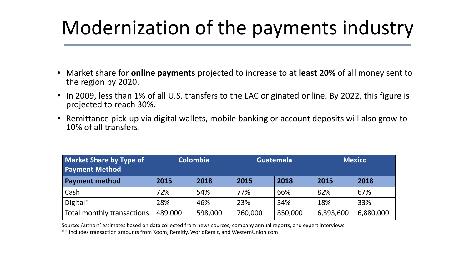### Modernization of the payments industry

- Market share for **online payments** projected to increase to **at least 20%** of all money sent to the region by 2020.
- In 2009, less than 1% of all U.S. transfers to the LAC originated online. By 2022, this figure is projected to reach 30%.
- Remittance pick-up via digital wallets, mobile banking or account deposits will also grow to 10% of all transfers.

| <b>Market Share by Type of</b><br><b>Payment Method</b> | <b>Colombia</b> |         |         | <b>Guatemala</b> | <b>Mexico</b> |           |
|---------------------------------------------------------|-----------------|---------|---------|------------------|---------------|-----------|
| <b>Payment method</b>                                   | 2015            | 2018    | 2015    | 2018             | 2015          | 2018      |
| Cash                                                    | 72%             | 54%     | 77%     | 66%              | 82%           | 67%       |
| Digital $*$                                             | 28%             | 46%     | 23%     | 34%              | 18%           | 33%       |
| Total monthly transactions                              | 489,000         | 598,000 | 760,000 | 850,000          | 6,393,600     | 6,880,000 |

Source: Authors' estimates based on data collected from news sources, company annual reports, and expert interviews.

\*\* Includes transaction amounts from Xoom, Remitly, WorldRemit, and WesternUnion.com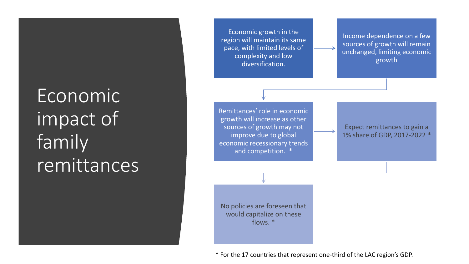## Economic impact of family remittances

Economic growth in the region will maintain its same pace, with limited levels of complexity and low diversification.

Income dependence on a few sources of growth will remain unchanged, limiting economic growth

Remittances' role in economic growth will increase as other sources of growth may not improve due to global economic recessionary trends and competition. \*

Expect remittances to gain a 1% share of GDP, 2017-2022 \*

No policies are foreseen that would capitalize on these flows. \*

\* For the 17 countries that represent one-third of the LAC region's GDP.